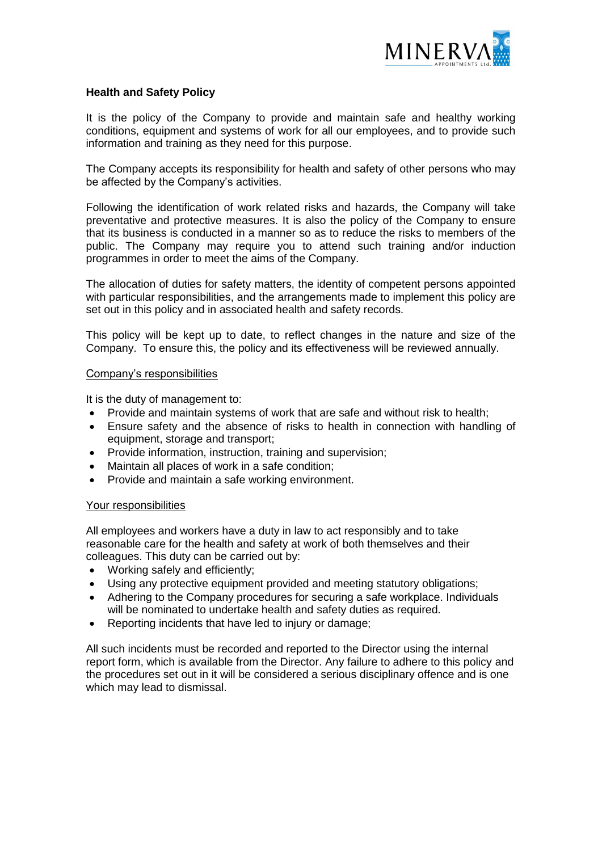

# **Health and Safety Policy**

It is the policy of the Company to provide and maintain safe and healthy working conditions, equipment and systems of work for all our employees, and to provide such information and training as they need for this purpose.

The Company accepts its responsibility for health and safety of other persons who may be affected by the Company's activities.

Following the identification of work related risks and hazards, the Company will take preventative and protective measures. It is also the policy of the Company to ensure that its business is conducted in a manner so as to reduce the risks to members of the public. The Company may require you to attend such training and/or induction programmes in order to meet the aims of the Company.

The allocation of duties for safety matters, the identity of competent persons appointed with particular responsibilities, and the arrangements made to implement this policy are set out in this policy and in associated health and safety records.

This policy will be kept up to date, to reflect changes in the nature and size of the Company. To ensure this, the policy and its effectiveness will be reviewed annually.

### Company's responsibilities

It is the duty of management to:

- Provide and maintain systems of work that are safe and without risk to health;
- Ensure safety and the absence of risks to health in connection with handling of equipment, storage and transport;
- Provide information, instruction, training and supervision;
- Maintain all places of work in a safe condition;
- Provide and maintain a safe working environment.

### Your responsibilities

All employees and workers have a duty in law to act responsibly and to take reasonable care for the health and safety at work of both themselves and their colleagues. This duty can be carried out by:

- Working safely and efficiently;
- Using any protective equipment provided and meeting statutory obligations;
- Adhering to the Company procedures for securing a safe workplace. Individuals will be nominated to undertake health and safety duties as required.
- Reporting incidents that have led to injury or damage;

All such incidents must be recorded and reported to the Director using the internal report form, which is available from the Director. Any failure to adhere to this policy and the procedures set out in it will be considered a serious disciplinary offence and is one which may lead to dismissal.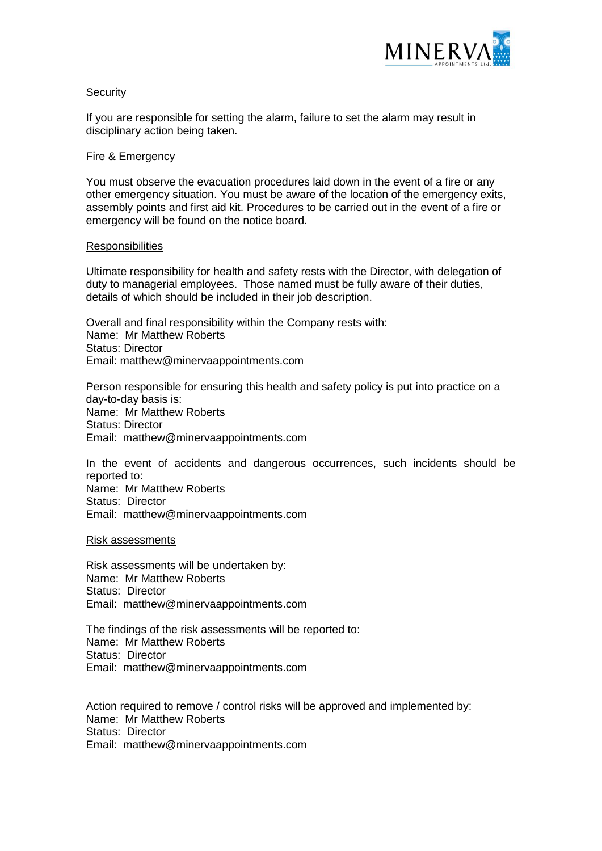

## **Security**

If you are responsible for setting the alarm, failure to set the alarm may result in disciplinary action being taken.

### Fire & Emergency

You must observe the evacuation procedures laid down in the event of a fire or any other emergency situation. You must be aware of the location of the emergency exits, assembly points and first aid kit. Procedures to be carried out in the event of a fire or emergency will be found on the notice board.

### **Responsibilities**

Ultimate responsibility for health and safety rests with the Director, with delegation of duty to managerial employees. Those named must be fully aware of their duties, details of which should be included in their job description.

Overall and final responsibility within the Company rests with: Name: Mr Matthew Roberts Status: Director Email: matthew@minervaappointments.com

Person responsible for ensuring this health and safety policy is put into practice on a day-to-day basis is: Name: Mr Matthew Roberts Status: Director Email: matthew@minervaappointments.com

In the event of accidents and dangerous occurrences, such incidents should be reported to: Name: Mr Matthew Roberts Status: Director Email: matthew@minervaappointments.com

Risk assessments

Risk assessments will be undertaken by: Name: Mr Matthew Roberts Status: Director Email: matthew@minervaappointments.com

The findings of the risk assessments will be reported to: Name: Mr Matthew Roberts Status: Director Email: matthew@minervaappointments.com

Action required to remove / control risks will be approved and implemented by: Name: Mr Matthew Roberts Status: Director Email: matthew@minervaappointments.com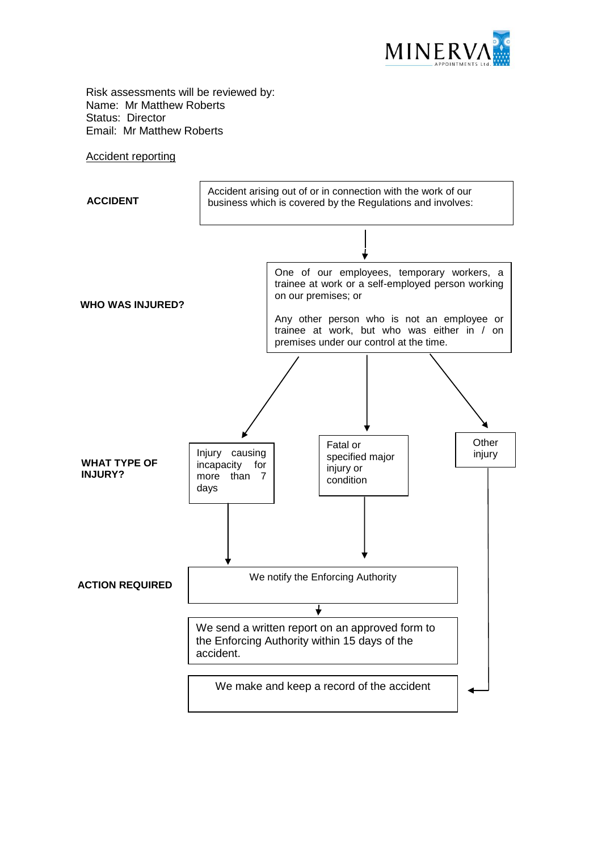

Risk assessments will be reviewed by: Name: Mr Matthew Roberts Status: Director Email: Mr Matthew Roberts

#### Accident reporting

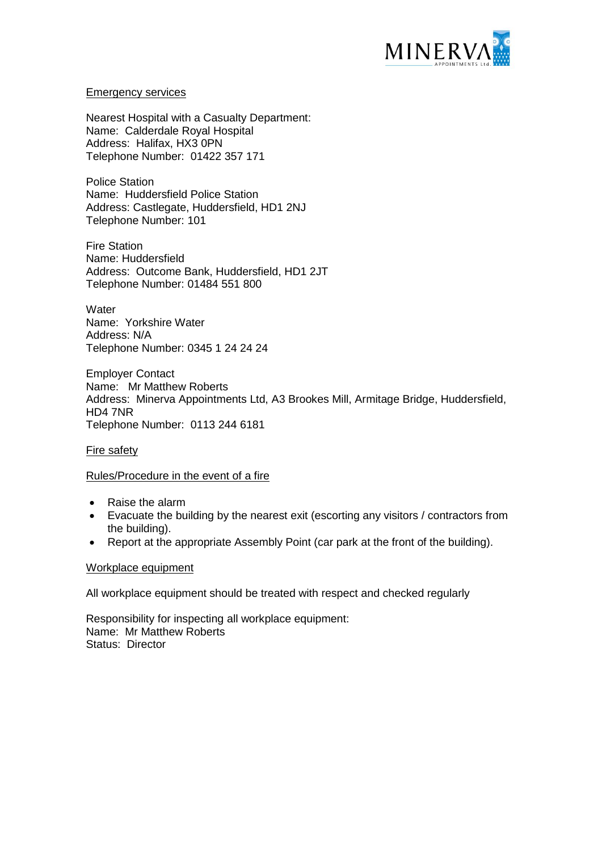

### Emergency services

Nearest Hospital with a Casualty Department: Name: Calderdale Royal Hospital Address: Halifax, HX3 0PN Telephone Number: 01422 357 171

Police Station Name: Huddersfield Police Station Address: Castlegate, Huddersfield, HD1 2NJ Telephone Number: 101

Fire Station Name: Huddersfield Address: Outcome Bank, Huddersfield, HD1 2JT Telephone Number: 01484 551 800

**Water** Name: Yorkshire Water Address: N/A Telephone Number: 0345 1 24 24 24

Employer Contact Name: Mr Matthew Roberts Address: Minerva Appointments Ltd, A3 Brookes Mill, Armitage Bridge, Huddersfield, HD4 7NR Telephone Number: 0113 244 6181

## Fire safety

## Rules/Procedure in the event of a fire

- Raise the alarm
- Evacuate the building by the nearest exit (escorting any visitors / contractors from the building).
- Report at the appropriate Assembly Point (car park at the front of the building).

### Workplace equipment

All workplace equipment should be treated with respect and checked regularly

Responsibility for inspecting all workplace equipment: Name: Mr Matthew Roberts Status: Director